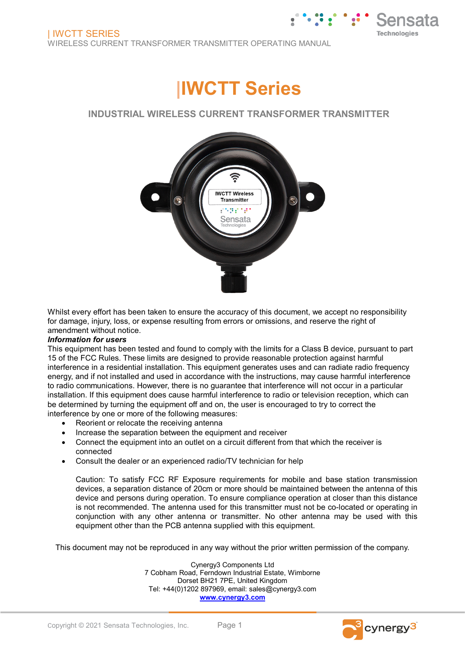

### **INDUSTRIAL WIRELESS CURRENT TRANSFORMER TRANSMITTER**



Whilst every effort has been taken to ensure the accuracy of this document, we accept no responsibility for damage, injury, loss, or expense resulting from errors or omissions, and reserve the right of amendment without notice.

#### *Information for users*

This equipment has been tested and found to comply with the limits for a Class B device, pursuant to part 15 of the FCC Rules. These limits are designed to provide reasonable protection against harmful interference in a residential installation. This equipment generates uses and can radiate radio frequency energy, and if not installed and used in accordance with the instructions, may cause harmful interference to radio communications. However, there is no guarantee that interference will not occur in a particular installation. If this equipment does cause harmful interference to radio or television reception, which can be determined by turning the equipment off and on, the user is encouraged to try to correct the interference by one or more of the following measures:

- Reorient or relocate the receiving antenna
- Increase the separation between the equipment and receiver
- Connect the equipment into an outlet on a circuit different from that which the receiver is connected
- Consult the dealer or an experienced radio/TV technician for help

Caution: To satisfy FCC RF Exposure requirements for mobile and base station transmission devices, a separation distance of 20cm or more should be maintained between the antenna of this device and persons during operation. To ensure compliance operation at closer than this distance is not recommended. The antenna used for this transmitter must not be co-located or operating in conjunction with any other antenna or transmitter. No other antenna may be used with this equipment other than the PCB antenna supplied with this equipment.

This document may not be reproduced in any way without the prior written permission of the company.

Cynergy3 Components Ltd 7 Cobham Road, Ferndown Industrial Estate, Wimborne Dorset BH21 7PE, United Kingdom Tel: +44(0)1202 897969, email: sales@cynergy3.com **[www.cynergy3.com](http://www.cynergy3.com/)**

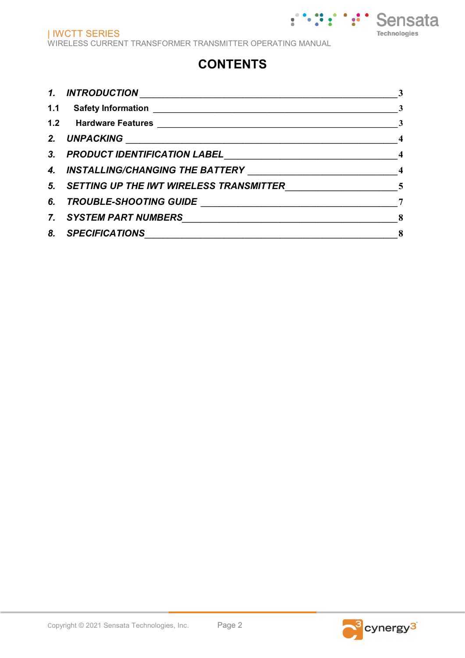## **CONTENTS**

| 1.    | <b>INTRODUCTION</b>                                                                                                    | 3                        |
|-------|------------------------------------------------------------------------------------------------------------------------|--------------------------|
| $1.1$ | <b>Safety Information</b>                                                                                              | 3                        |
|       | 1.2 Hardware Features <b>Market and Science And Tarace Area</b> Andrew Market and Area Area Area Area Area Area Area A | $\mathbf{3}$             |
| 2.    | <b>UNPACKING</b>                                                                                                       | $\overline{4}$           |
| 3.    | PRODUCT IDENTIFICATION LABEL<br><u> 1990 - Johann John Stein, markin santa a</u>                                       | $\overline{\phantom{0}}$ |
| 4.    | <b>INSTALLING/CHANGING THE BATTERY</b>                                                                                 | $\overline{\phantom{a}}$ |
| 5.    | SETTING UP THE IWT WIRELESS TRANSMITTER                                                                                | $\sqrt{5}$               |
| 6.    | <b>TROUBLE-SHOOTING GUIDE</b>                                                                                          | 7                        |
| 7.    | <b>SYSTEM PART NUMBERS</b>                                                                                             | 8                        |
| 8.    | <b>SPECIFICATIONS</b>                                                                                                  | 8                        |

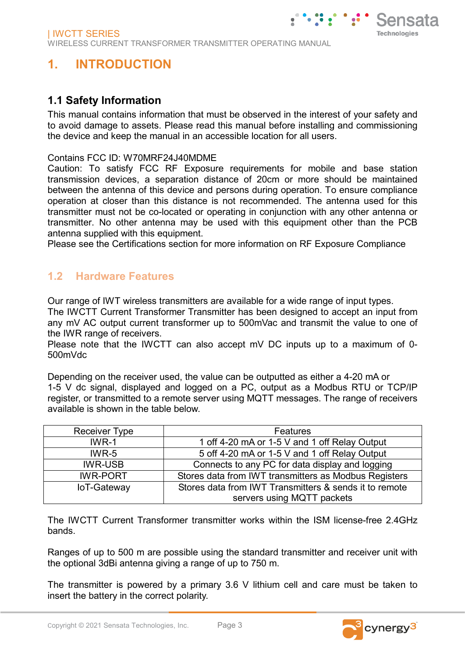# **1. INTRODUCTION**

### **1.1 Safety Information**

This manual contains information that must be observed in the interest of your safety and to avoid damage to assets. Please read this manual before installing and commissioning the device and keep the manual in an accessible location for all users.

### Contains FCC ID: W70MRF24J40MDME

Caution: To satisfy FCC RF Exposure requirements for mobile and base station transmission devices, a separation distance of 20cm or more should be maintained between the antenna of this device and persons during operation. To ensure compliance operation at closer than this distance is not recommended. The antenna used for this transmitter must not be co-located or operating in conjunction with any other antenna or transmitter. No other antenna may be used with this equipment other than the PCB antenna supplied with this equipment.

Please see the Certifications section for more information on RF Exposure Compliance

### **1.2 Hardware Features**

Our range of IWT wireless transmitters are available for a wide range of input types.

The IWCTT Current Transformer Transmitter has been designed to accept an input from any mV AC output current transformer up to 500mVac and transmit the value to one of the IWR range of receivers.

Please note that the IWCTT can also accept mV DC inputs up to a maximum of 0- 500mVdc

Depending on the receiver used, the value can be outputted as either a 4-20 mA or 1-5 V dc signal, displayed and logged on a PC, output as a Modbus RTU or TCP/IP register, or transmitted to a remote server using MQTT messages. The range of receivers available is shown in the table below.

| <b>Receiver Type</b> | <b>Features</b>                                        |  |
|----------------------|--------------------------------------------------------|--|
| $IWR-1$              | 1 off 4-20 mA or 1-5 V and 1 off Relay Output          |  |
| $IWR-5$              | 5 off 4-20 mA or 1-5 V and 1 off Relay Output          |  |
| <b>IWR-USB</b>       | Connects to any PC for data display and logging        |  |
| <b>IWR-PORT</b>      | Stores data from IWT transmitters as Modbus Registers  |  |
| loT-Gateway          | Stores data from IWT Transmitters & sends it to remote |  |
|                      | servers using MQTT packets                             |  |

The IWCTT Current Transformer transmitter works within the ISM license-free 2.4GHz bands.

Ranges of up to 500 m are possible using the standard transmitter and receiver unit with the optional 3dBi antenna giving a range of up to 750 m.

The transmitter is powered by a primary 3.6 V lithium cell and care must be taken to insert the battery in the correct polarity.

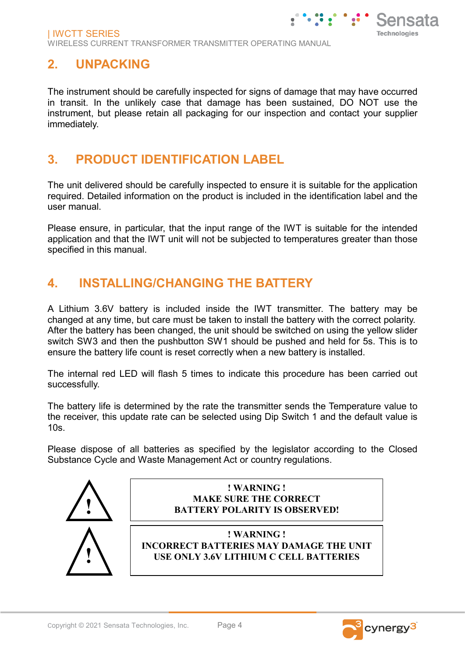## **2. UNPACKING**

The instrument should be carefully inspected for signs of damage that may have occurred in transit. In the unlikely case that damage has been sustained, DO NOT use the instrument, but please retain all packaging for our inspection and contact your supplier immediately.

## **3. PRODUCT IDENTIFICATION LABEL**

The unit delivered should be carefully inspected to ensure it is suitable for the application required. Detailed information on the product is included in the identification label and the user manual.

Please ensure, in particular, that the input range of the IWT is suitable for the intended application and that the IWT unit will not be subjected to temperatures greater than those specified in this manual.

## **4. INSTALLING/CHANGING THE BATTERY**

A Lithium 3.6V battery is included inside the IWT transmitter. The battery may be changed at any time, but care must be taken to install the battery with the correct polarity. After the battery has been changed, the unit should be switched on using the yellow slider switch SW3 and then the pushbutton SW1 should be pushed and held for 5s. This is to ensure the battery life count is reset correctly when a new battery is installed.

The internal red LED will flash 5 times to indicate this procedure has been carried out successfully.

The battery life is determined by the rate the transmitter sends the Temperature value to the receiver, this update rate can be selected using Dip Switch 1 and the default value is 10s.

Please dispose of all batteries as specified by the legislator according to the Closed Substance Cycle and Waste Management Act or country regulations.



### **! WARNING ! MAKE SURE THE CORRECT BATTERY POLARITY IS OBSERVED!**



**! WARNING ! INCORRECT BATTERIES MAY DAMAGE THE UNIT USE ONLY 3.6V LITHIUM C CELL BATTERIES** 

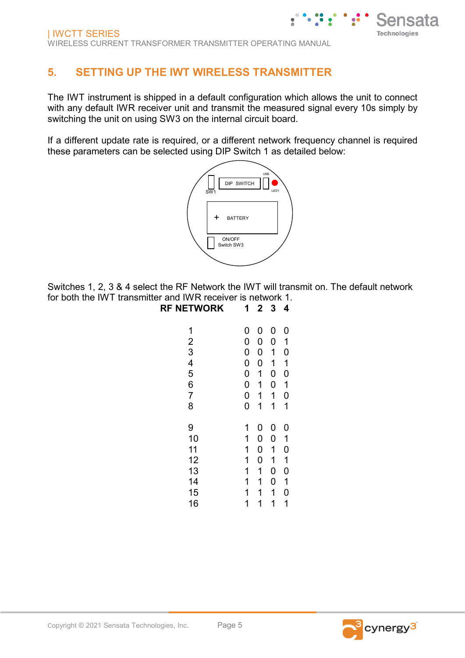## **5. SETTING UP THE IWT WIRELESS TRANSMITTER**

The IWT instrument is shipped in a default configuration which allows the unit to connect with any default IWR receiver unit and transmit the measured signal every 10s simply by switching the unit on using SW3 on the internal circuit board.

If a different update rate is required, or a different network frequency channel is required these parameters can be selected using DIP Switch 1 as detailed below:



Switches 1, 2, 3 & 4 select the RF Network the IWT will transmit on. The default network for both the IWT transmitter and IWR receiver is network 1.

| <b>RF NETWORK</b> | 1              | $\overline{2}$ | 3 | 4           |
|-------------------|----------------|----------------|---|-------------|
| 1                 | 0              | 0              | 0 | 0           |
|                   | 0              | 0              | 0 | 1           |
| $\frac{2}{3}$     | $\mathbf 0$    | 0              | 1 | 0           |
|                   | $\mathbf 0$    | 0              | 1 | 1           |
| $\frac{4}{5}$     | $\mathbf 0$    | 1              | 0 | 0           |
| 6                 | $\mathbf 0$    | 1              | 0 | 1           |
| $\overline{7}$    | $\overline{0}$ | 1              | 1 | 0           |
| 8                 | $\overline{0}$ | 1              | 1 | 1           |
| 9                 | 1              | 0              | 0 | 0           |
| 10                | 1              | 0              | 0 | 1           |
| 11                | 1              | 0              | 1 | 0           |
| 12                | 1              | 0              | 1 | 1           |
| 13                | 1              | 1              | 0 | $\mathbf 0$ |
| 14                | 1              | 1              | 0 | 1           |
| 15                | 1              | 1              | 1 | 0           |
| 16                | 1              | 1              | 1 | 1           |

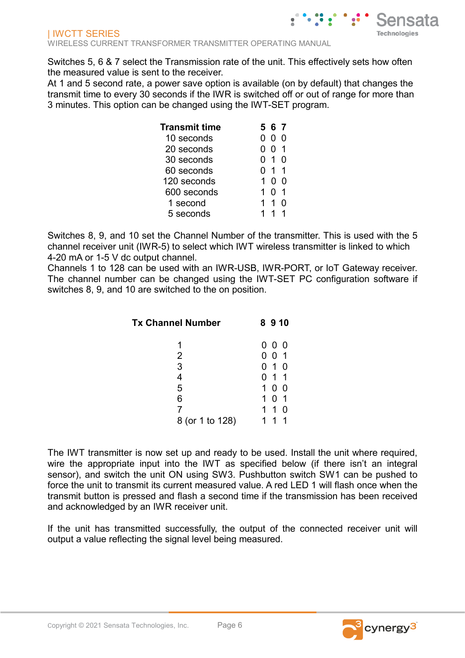Switches 5, 6 & 7 select the Transmission rate of the unit. This effectively sets how often the measured value is sent to the receiver.

At 1 and 5 second rate, a power save option is available (on by default) that changes the transmit time to every 30 seconds if the IWR is switched off or out of range for more than 3 minutes. This option can be changed using the IWT-SET program.

| Transmit time |          | 567          |  |
|---------------|----------|--------------|--|
| 10 seconds    | $^{(1)}$ | $\mathbf{0}$ |  |
| 20 seconds    | O        | 01           |  |
| 30 seconds    |          | 0 1          |  |
| 60 seconds    | O        | 11           |  |
| 120 seconds   |          | O            |  |
| 600 seconds   |          | O            |  |
| 1 second      | 1.       | 1            |  |
| 5 seconds     |          |              |  |

Switches 8, 9, and 10 set the Channel Number of the transmitter. This is used with the 5 channel receiver unit (IWR-5) to select which IWT wireless transmitter is linked to which 4-20 mA or 1-5 V dc output channel.

Channels 1 to 128 can be used with an IWR-USB, IWR-PORT, or IoT Gateway receiver. The channel number can be changed using the IWT-SET PC configuration software if switches 8, 9, and 10 are switched to the on position.

| <b>Tx Channel Number</b> | 8910                  |
|--------------------------|-----------------------|
|                          | 000                   |
| $\overline{2}$           | 001                   |
| 3                        | $0$ 1 $0$             |
| 4                        | 0 1 1                 |
| 5                        | 1 <sub>0</sub><br>- 0 |
| 6                        | 0 <sub>1</sub><br>1.  |
| 7                        | 1 1 0                 |
| 8 (or 1 to 128)          |                       |

The IWT transmitter is now set up and ready to be used. Install the unit where required, wire the appropriate input into the IWT as specified below (if there isn't an integral sensor), and switch the unit ON using SW3. Pushbutton switch SW1 can be pushed to force the unit to transmit its current measured value. A red LED 1 will flash once when the transmit button is pressed and flash a second time if the transmission has been received and acknowledged by an IWR receiver unit.

If the unit has transmitted successfully, the output of the connected receiver unit will output a value reflecting the signal level being measured.

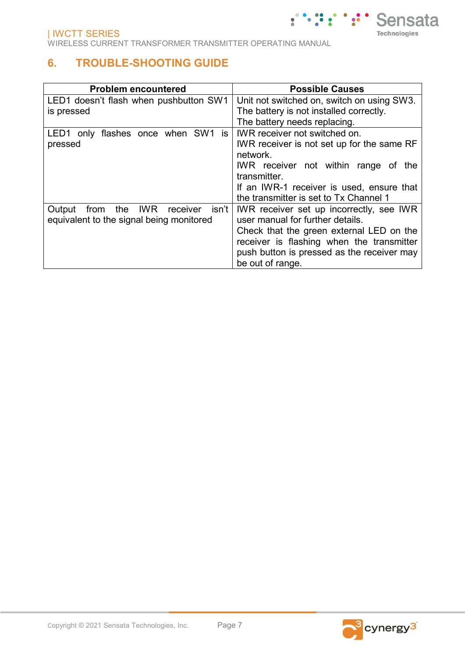### **6. TROUBLE-SHOOTING GUIDE**

| <b>Problem encountered</b>                        | <b>Possible Causes</b>                     |
|---------------------------------------------------|--------------------------------------------|
| LED1 doesn't flash when pushbutton SW1            | Unit not switched on, switch on using SW3. |
| is pressed                                        | The battery is not installed correctly.    |
|                                                   | The battery needs replacing.               |
| LED1 only flashes once when SW1 is                | IWR receiver not switched on.              |
| pressed                                           | IWR receiver is not set up for the same RF |
|                                                   | network.                                   |
|                                                   | IWR receiver not within range of the       |
|                                                   | transmitter.                               |
|                                                   | If an IWR-1 receiver is used, ensure that  |
|                                                   | the transmitter is set to Tx Channel 1     |
| isn't<br>IWR<br>the<br>receiver<br>Output<br>from | IWR receiver set up incorrectly, see IWR   |
| equivalent to the signal being monitored          | user manual for further details.           |
|                                                   | Check that the green external LED on the   |
|                                                   | receiver is flashing when the transmitter  |
|                                                   | push button is pressed as the receiver may |
|                                                   | be out of range.                           |



**Sensata** 

**Technologies**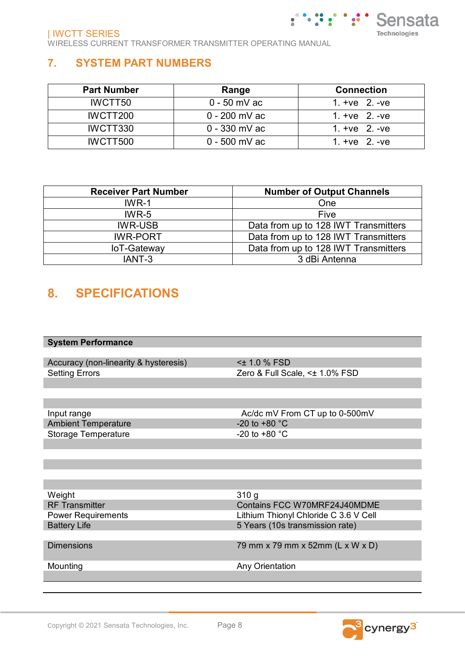## **7. SYSTEM PART NUMBERS**

| <b>Part Number</b> | Range           | <b>Connection</b> |
|--------------------|-----------------|-------------------|
| IWCTT50            | $0 - 50$ mV ac  | 1. $+ve$ 2. $-ve$ |
| IWCTT200           | $0 - 200$ mV ac | 1. $+ve$ 2. $-ve$ |
| IWCTT330           | $0 - 330$ mV ac | 1. $+ve$ 2. $-ve$ |
| IWCTT500           | $0 - 500$ mV ac | 1. $+ve$ 2. $-ve$ |

| <b>Receiver Part Number</b> | <b>Number of Output Channels</b>     |
|-----------------------------|--------------------------------------|
| $IWR-1$                     | One                                  |
| $IWR-5$                     | Five                                 |
| <b>IWR-USB</b>              | Data from up to 128 IWT Transmitters |
| <b>IWR-PORT</b>             | Data from up to 128 IWT Transmitters |
| loT-Gateway                 | Data from up to 128 IWT Transmitters |
| IANT-3                      | 3 dBi Antenna                        |

## **8. SPECIFICATIONS**

Accuracy (non-linearity & hysteresis) <± 1.0 % FSD Setting Errors **Exercise 2** and  $\overline{Z}$  are  $\overline{Z}$  and  $\overline{Z}$  are  $\overline{Z}$  are  $\overline{Z}$  and  $\overline{Z}$  are  $\overline{Z}$  are  $\overline{Z}$  and  $\overline{Z}$  are  $\overline{Z}$  are  $\overline{Z}$  are  $\overline{Z}$  are  $\overline{Z}$  are  $\overline{Z}$  are  $\overline{Z}$ 

 $\mathcal{L}(\mathcal{L},\mathcal{L})$ 

 $\ddotsc$ 

Sensata

**Technologies** 

Input range  $\bigcup_{\text{A} \in \mathcal{A}}$  Ac/dc mV From CT up to 0-500mV Ambient Temperature Ambient Temperature<br>
Storage Temperature  $-20$  to +80 °C<br>
-20 to +80 °C Storage Temperature

Weight 310 g<br>RF Transmitter 310 g<br>RF Transmitter 310 g

RF Transmitter Contains FCC W70MRF24J40MDME<br>Power Requirements FOC W70MRF24J40MDME Power Requirements<br>
Battery Life 69.6 V Cell<br>
Battery Life 69.6 V Cell<br>
Battery Life 69.6 V Cell<br>
S Years (10s transmission rate) 5 Years (10s transmission rate)

Dimensions 79 mm x 79 mm x 52mm (L x W x D)

Mounting Mounting Any Orientation

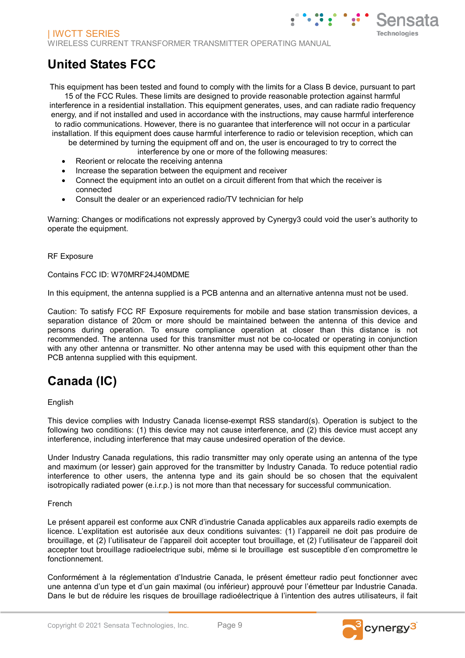# **United States FCC**

This equipment has been tested and found to comply with the limits for a Class B device, pursuant to part 15 of the FCC Rules. These limits are designed to provide reasonable protection against harmful interference in a residential installation. This equipment generates, uses, and can radiate radio frequency energy, and if not installed and used in accordance with the instructions, may cause harmful interference to radio communications. However, there is no guarantee that interference will not occur in a particular installation. If this equipment does cause harmful interference to radio or television reception, which can be determined by turning the equipment off and on, the user is encouraged to try to correct the

- interference by one or more of the following measures:
- Reorient or relocate the receiving antenna
- Increase the separation between the equipment and receiver
- Connect the equipment into an outlet on a circuit different from that which the receiver is connected
- Consult the dealer or an experienced radio/TV technician for help

Warning: Changes or modifications not expressly approved by Cynergy3 could void the user's authority to operate the equipment.

#### RF Exposure

#### Contains FCC ID: W70MRF24J40MDME

In this equipment, the antenna supplied is a PCB antenna and an alternative antenna must not be used.

Caution: To satisfy FCC RF Exposure requirements for mobile and base station transmission devices, a separation distance of 20cm or more should be maintained between the antenna of this device and persons during operation. To ensure compliance operation at closer than this distance is not recommended. The antenna used for this transmitter must not be co-located or operating in conjunction with any other antenna or transmitter. No other antenna may be used with this equipment other than the PCB antenna supplied with this equipment.

# **Canada (IC)**

### English

This device complies with Industry Canada license-exempt RSS standard(s). Operation is subject to the following two conditions: (1) this device may not cause interference, and (2) this device must accept any interference, including interference that may cause undesired operation of the device.

Under Industry Canada regulations, this radio transmitter may only operate using an antenna of the type and maximum (or lesser) gain approved for the transmitter by Industry Canada. To reduce potential radio interference to other users, the antenna type and its gain should be so chosen that the equivalent isotropically radiated power (e.i.r.p.) is not more than that necessary for successful communication.

#### French

Le présent appareil est conforme aux CNR d'industrie Canada applicables aux appareils radio exempts de licence. L'explitation est autorisée aux deux conditions suivantes: (1) l'appareil ne doit pas produire de brouillage, et (2) l'utilisateur de l'appareil doit accepter tout brouillage, et (2) l'utilisateur de l'appareil doit accepter tout brouillage radioelectrique subi, même si le brouillage est susceptible d'en compromettre le fonctionnement.

Conformément à la réglementation d'Industrie Canada, le présent émetteur radio peut fonctionner avec une antenna d'un type et d'un gain maximal (ou inférieur) approuvé pour l'émetteur par Industrie Canada. Dans le but de réduire les risques de brouillage radioélectrique à I'intention des autres utilisateurs, il fait

Sensata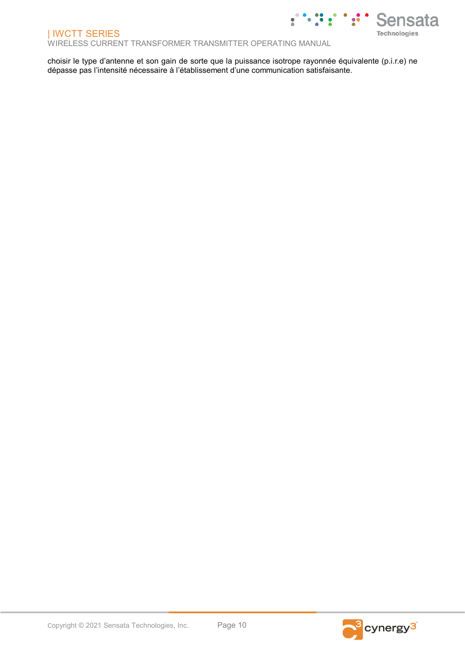WIRELESS CURRENT TRANSFORMER TRANSMITTER OPERATING MANUAL

choisir le type d'antenne et son gain de sorte que la puissance isotrope rayonnée équivalente (p.i.r.e) ne dépasse pas l'intensité nécessaire à l'établissement d'une communication satisfaisante.



nsata